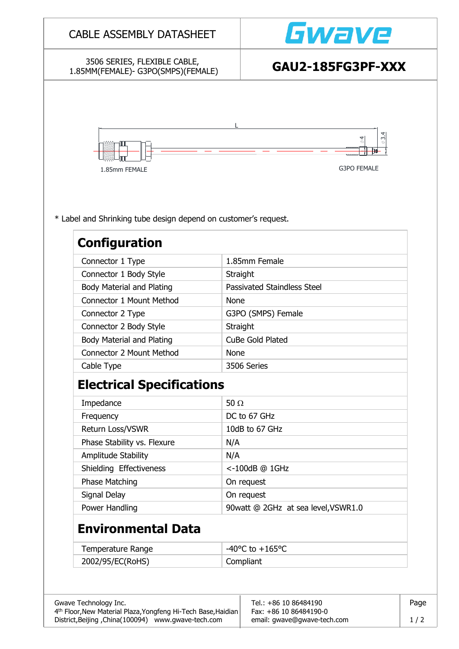| 3506 SERIES, FLEXIBLE CABLE,<br>1.85MM(FEMALE)- G3PO(SMPS)(FEMALE)                      | GAU2-185FG3PF-XXX                             |  |  |  |  |
|-----------------------------------------------------------------------------------------|-----------------------------------------------|--|--|--|--|
| 1.85mm FEMALE                                                                           | $\phi$<br>$\frac{3}{6}$<br><b>G3PO FEMALE</b> |  |  |  |  |
| * Label and Shrinking tube design depend on customer's request.<br><b>Configuration</b> |                                               |  |  |  |  |
| Connector 1 Type                                                                        | 1.85mm Female                                 |  |  |  |  |
| Connector 1 Body Style                                                                  | Straight                                      |  |  |  |  |
| Body Material and Plating                                                               | <b>Passivated Staindless Steel</b>            |  |  |  |  |
| Connector 1 Mount Method                                                                | <b>None</b>                                   |  |  |  |  |
| Connector 2 Type                                                                        | G3PO (SMPS) Female                            |  |  |  |  |
| Connector 2 Body Style                                                                  | Straight                                      |  |  |  |  |
| <b>Body Material and Plating</b>                                                        | CuBe Gold Plated                              |  |  |  |  |
| Connector 2 Mount Method                                                                | None                                          |  |  |  |  |
| Cable Type                                                                              | 3506 Series                                   |  |  |  |  |
| <b>Electrical Specifications</b>                                                        |                                               |  |  |  |  |
| Impedance                                                                               | 50 $\Omega$                                   |  |  |  |  |
| Frequency                                                                               | DC to 67 GHz                                  |  |  |  |  |
|                                                                                         | 10dB to 67 GHz                                |  |  |  |  |
| Return Loss/VSWR                                                                        |                                               |  |  |  |  |
| Phase Stability vs. Flexure                                                             | N/A                                           |  |  |  |  |
| Amplitude Stability                                                                     | N/A                                           |  |  |  |  |
| Shielding Effectiveness                                                                 | <-100dB @ 1GHz                                |  |  |  |  |
| <b>Phase Matching</b>                                                                   | On request                                    |  |  |  |  |
| Signal Delay                                                                            | On request                                    |  |  |  |  |
| Power Handling                                                                          | 90watt @ 2GHz at sea level, VSWR1.0           |  |  |  |  |
| <b>Environmental Data</b>                                                               |                                               |  |  |  |  |
| Temperature Range                                                                       | $-40^{\circ}$ C to $+165^{\circ}$ C           |  |  |  |  |

District,Beijing ,China(100094) www.gwave-tech.com email: gwave@gwave-tech.com 1 / 2